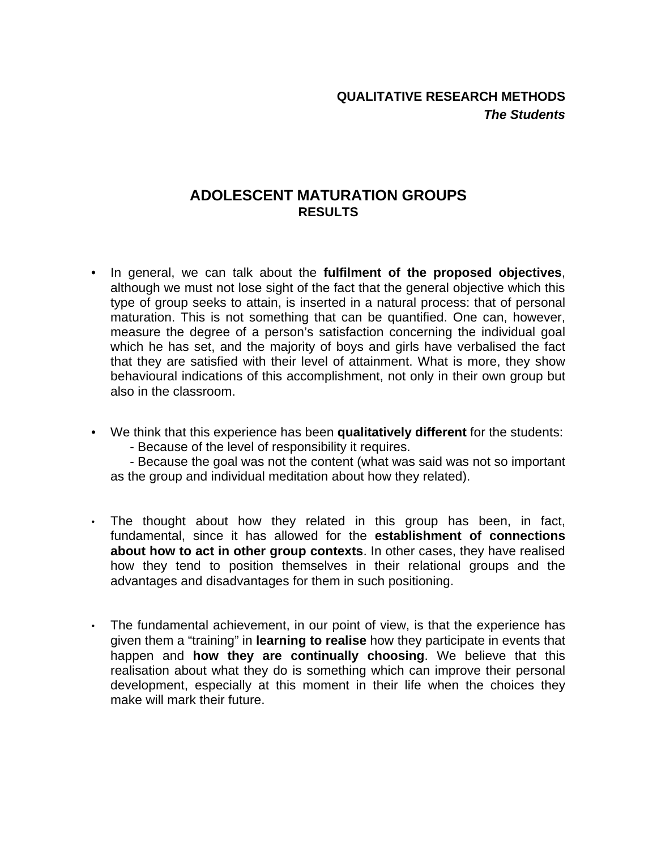## **ADOLESCENT MATURATION GROUPS RESULTS**

- In general, we can talk about the **fulfilment of the proposed objectives**, although we must not lose sight of the fact that the general objective which this type of group seeks to attain, is inserted in a natural process: that of personal maturation. This is not something that can be quantified. One can, however, measure the degree of a person's satisfaction concerning the individual goal which he has set, and the majority of boys and girls have verbalised the fact that they are satisfied with their level of attainment. What is more, they show behavioural indications of this accomplishment, not only in their own group but also in the classroom.
- We think that this experience has been **qualitatively different** for the students:
	- Because of the level of responsibility it requires.

- Because the goal was not the content (what was said was not so important as the group and individual meditation about how they related).

- The thought about how they related in this group has been, in fact, fundamental, since it has allowed for the **establishment of connections about how to act in other group contexts**. In other cases, they have realised how they tend to position themselves in their relational groups and the advantages and disadvantages for them in such positioning.
- The fundamental achievement, in our point of view, is that the experience has given them a "training" in **learning to realise** how they participate in events that happen and **how they are continually choosing**. We believe that this realisation about what they do is something which can improve their personal development, especially at this moment in their life when the choices they make will mark their future.